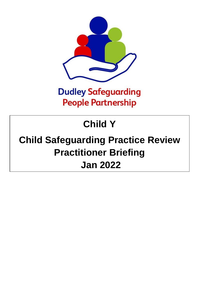

### **Dudley Safeguarding People Partnership**

# **Child Y**

## **Child Safeguarding Practice Review Practitioner Briefing Jan 2022**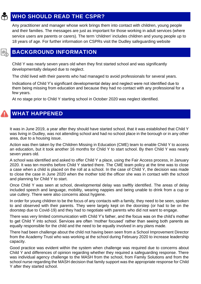### **WHO SHOULD READ THE CSPR?**

Any practitioner and manager whose work brings them into contact with children, young people and their families. The messages are just as important for those working in adult services (where service users are parents or carers). The term 'children' includes children and young people up to 18 years of age. For further information on CSPRs visit the Dudley safeguarding website

#### **BACKGROUND INFORMATION**

Child Y was nearly seven years old when they first started school and was significantly developmentally delayed due to neglect.

The child lived with their parents who had managed to avoid professionals for several years.

Indications of Child Y's significant developmental delay and neglect were not identified due to them being missing from education and because they had no contact with any professional for a few years.

At no stage prior to Child Y starting school in October 2020 was neglect identified.

#### **WHAT HAPPENED**

昆

It was in June 2019, a year after they should have started school, that it was established that Child Y was living in Dudley, was not attending school and had no school place in the borough or in any other area, due to a housing issue.

Action was then taken by the Children Missing in Education (CME) team to enable Child Y to access an education, but it took another 16 months for Child Y to start school. By then Child Y was nearly seven years old.

A school was identified and asked to offer Child Y a place, using the Fair Access process, in January 2020. It was ten months before Child Y started there. The CME team policy at the time was to close a case when a child is placed on the roll at a school. In the case of Child Y, the decision was made to close the case in June 2020 when the mother told the officer she was in contact with the school and planning for Child Y to start.

Once Child Y was seen at school, developmental delay was swiftly identified. The areas of delay included speech and language, mobility, wearing nappies and being unable to drink from a cup or use cutlery. There were also concerns about hygiene.

In order for young children to be the focus of any contacts with a family, they need to be seen, spoken to and observed with their parents. They were largely kept on the doorstep (or had to be on the doorstep due to Covid-19) and they had to negotiate with parents who did not want to engage.

There was very limited communication with Child Y's father, and the focus was on the child's mother to get Child Y into school. Services are often 'mother focused' rather than seeing both parents as equally responsible for the child and the need to be equally involved in any plans made.

There had been challenge about the child not having been seen from a School Improvement Director from the Academy Trust who was working at the school during February 2020 to increase leadership capacity.

Good practice was evident within the system when challenge was required due to concerns about Child Y and differences of opinion regarding whether they required a safeguarding response. There was individual agency challenge to the MASH from the school, from Family Solutions and from the school nurse regarding the MASH decision that family support was the appropriate response for Child Y after they started school.